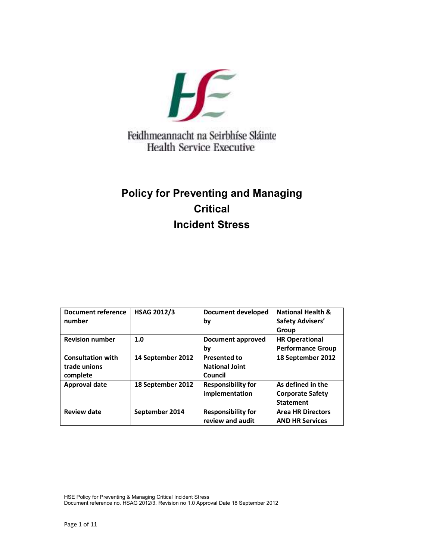

# Feidhmeannacht na Seirbhíse Sláinte **Health Service Executive**

# **Policy for Preventing and Managing Critical Incident Stress**

| Document reference<br>number                         | <b>HSAG 2012/3</b> | Document developed<br>bv                         | <b>National Health &amp;</b><br><b>Safety Advisers'</b><br>Group |
|------------------------------------------------------|--------------------|--------------------------------------------------|------------------------------------------------------------------|
| <b>Revision number</b>                               | 1.0                | Document approved<br>bv                          | <b>HR Operational</b><br><b>Performance Group</b>                |
| <b>Consultation with</b><br>trade unions<br>complete | 14 September 2012  | Presented to<br><b>National Joint</b><br>Council | 18 September 2012                                                |
| Approval date                                        | 18 September 2012  | <b>Responsibility for</b><br>implementation      | As defined in the<br><b>Corporate Safety</b><br><b>Statement</b> |
| <b>Review date</b>                                   | September 2014     | <b>Responsibility for</b><br>review and audit    | <b>Area HR Directors</b><br><b>AND HR Services</b>               |

HSE Policy for Preventing & Managing Critical Incident Stress Document reference no. HSAG 2012/3. Revision no 1.0 Approval Date 18 September 2012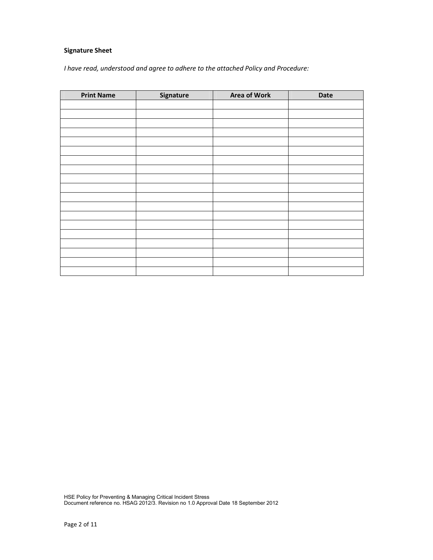## **Signature Sheet**

*I have read, understood and agree to adhere to the attached Policy and Procedure:* 

| <b>Print Name</b> | Signature | <b>Area of Work</b> | Date |
|-------------------|-----------|---------------------|------|
|                   |           |                     |      |
|                   |           |                     |      |
|                   |           |                     |      |
|                   |           |                     |      |
|                   |           |                     |      |
|                   |           |                     |      |
|                   |           |                     |      |
|                   |           |                     |      |
|                   |           |                     |      |
|                   |           |                     |      |
|                   |           |                     |      |
|                   |           |                     |      |
|                   |           |                     |      |
|                   |           |                     |      |
|                   |           |                     |      |
|                   |           |                     |      |
|                   |           |                     |      |
|                   |           |                     |      |
|                   |           |                     |      |

HSE Policy for Preventing & Managing Critical Incident Stress Document reference no. HSAG 2012/3. Revision no 1.0 Approval Date 18 September 2012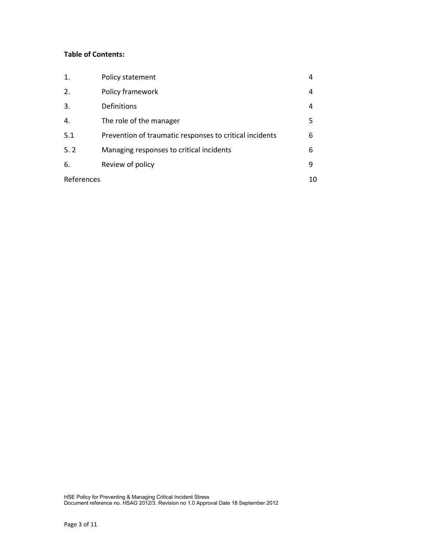## **Table of Contents:**

| 1.         | Policy statement                                        | 4  |
|------------|---------------------------------------------------------|----|
| 2.         | Policy framework                                        | 4  |
| 3.         | Definitions                                             | 4  |
| 4.         | The role of the manager                                 | 5  |
| 5.1        | Prevention of traumatic responses to critical incidents | 6  |
| 5.2        | Managing responses to critical incidents                | 6  |
| 6.         | Review of policy                                        | 9  |
| References |                                                         | 10 |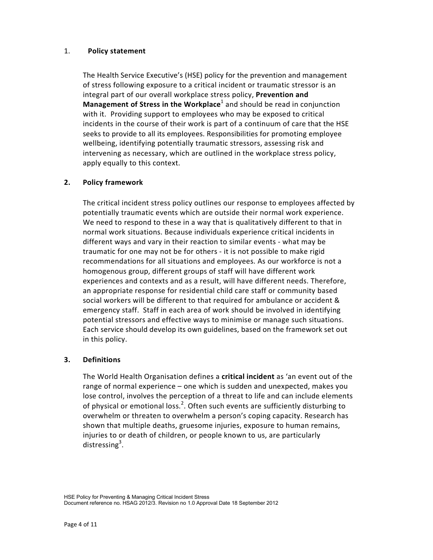#### 1. **Policy statement**

 The Health Service Executive's (HSE) policy for the prevention and management of stress following exposure to a critical incident or traumatic stressor is an integral part of our overall workplace stress policy, **Prevention and Management of Stress in the Workplace**<sup>1</sup> and should be read in conjunction with it. Providing support to employees who may be exposed to critical incidents in the course of their work is part of a continuum of care that the HSE seeks to provide to all its employees. Responsibilities for promoting employee wellbeing, identifying potentially traumatic stressors, assessing risk and intervening as necessary, which are outlined in the workplace stress policy, apply equally to this context.

#### **2. Policy framework**

 The critical incident stress policy outlines our response to employees affected by potentially traumatic events which are outside their normal work experience. We need to respond to these in a way that is qualitatively different to that in normal work situations. Because individuals experience critical incidents in different ways and vary in their reaction to similar events - what may be traumatic for one may not be for others - it is not possible to make rigid recommendations for all situations and employees. As our workforce is not a homogenous group, different groups of staff will have different work experiences and contexts and as a result, will have different needs. Therefore, an appropriate response for residential child care staff or community based social workers will be different to that required for ambulance or accident & emergency staff. Staff in each area of work should be involved in identifying potential stressors and effective ways to minimise or manage such situations. Each service should develop its own guidelines, based on the framework set out in this policy.

#### **3. Definitions**

 The World Health Organisation defines a **critical incident** as 'an event out of the range of normal experience – one which is sudden and unexpected, makes you lose control, involves the perception of a threat to life and can include elements of physical or emotional loss.<sup>2</sup>. Often such events are sufficiently disturbing to overwhelm or threaten to overwhelm a person's coping capacity. Research has shown that multiple deaths, gruesome injuries, exposure to human remains, injuries to or death of children, or people known to us, are particularly distressing<sup>3</sup>.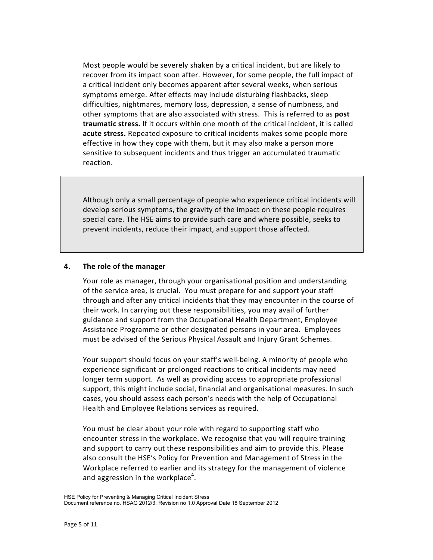Most people would be severely shaken by a critical incident, but are likely to recover from its impact soon after. However, for some people, the full impact of a critical incident only becomes apparent after several weeks, when serious symptoms emerge. After effects may include disturbing flashbacks, sleep difficulties, nightmares, memory loss, depression, a sense of numbness, and other symptoms that are also associated with stress. This is referred to as **post traumatic stress.** If it occurs within one month of the critical incident, it is called **acute stress.** Repeated exposure to critical incidents makes some people more effective in how they cope with them, but it may also make a person more sensitive to subsequent incidents and thus trigger an accumulated traumatic reaction.

 Although only a small percentage of people who experience critical incidents will develop serious symptoms, the gravity of the impact on these people requires special care. The HSE aims to provide such care and where possible, seeks to prevent incidents, reduce their impact, and support those affected.

#### **4. The role of the manager**

 Your role as manager, through your organisational position and understanding of the service area, is crucial. You must prepare for and support your staff through and after any critical incidents that they may encounter in the course of their work. In carrying out these responsibilities, you may avail of further guidance and support from the Occupational Health Department, Employee Assistance Programme or other designated persons in your area. Employees must be advised of the Serious Physical Assault and Injury Grant Schemes.

 Your support should focus on your staff's well-being. A minority of people who experience significant or prolonged reactions to critical incidents may need longer term support. As well as providing access to appropriate professional support, this might include social, financial and organisational measures. In such cases, you should assess each person's needs with the help of Occupational Health and Employee Relations services as required.

 You must be clear about your role with regard to supporting staff who encounter stress in the workplace. We recognise that you will require training and support to carry out these responsibilities and aim to provide this. Please also consult the HSE's Policy for Prevention and Management of Stress in the Workplace referred to earlier and its strategy for the management of violence and aggression in the workplace<sup>4</sup>.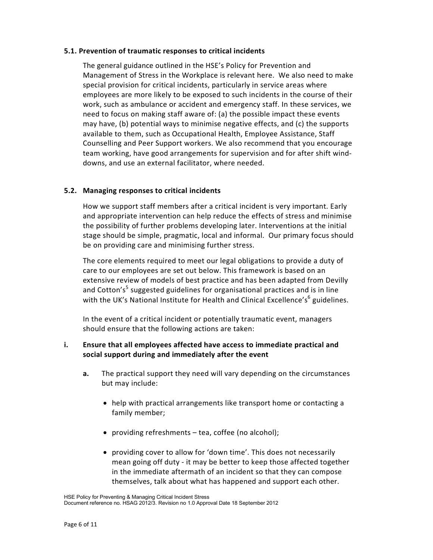#### **5.1. Prevention of traumatic responses to critical incidents**

 The general guidance outlined in the HSE's Policy for Prevention and Management of Stress in the Workplace is relevant here. We also need to make special provision for critical incidents, particularly in service areas where employees are more likely to be exposed to such incidents in the course of their work, such as ambulance or accident and emergency staff. In these services, we need to focus on making staff aware of: (a) the possible impact these events may have, (b) potential ways to minimise negative effects, and (c) the supports available to them, such as Occupational Health, Employee Assistance, Staff Counselling and Peer Support workers. We also recommend that you encourage team working, have good arrangements for supervision and for after shift winddowns, and use an external facilitator, where needed.

#### **5.2. Managing responses to critical incidents**

 How we support staff members after a critical incident is very important. Early and appropriate intervention can help reduce the effects of stress and minimise the possibility of further problems developing later. Interventions at the initial stage should be simple, pragmatic, local and informal. Our primary focus should be on providing care and minimising further stress.

 The core elements required to meet our legal obligations to provide a duty of care to our employees are set out below. This framework is based on an extensive review of models of best practice and has been adapted from Devilly and Cotton's<sup>5</sup> suggested guidelines for organisational practices and is in line with the UK's National Institute for Health and Clinical Excellence's<sup>6</sup> guidelines.

 In the event of a critical incident or potentially traumatic event, managers should ensure that the following actions are taken:

## **i. Ensure that all employees affected have access to immediate practical and social support during and immediately after the event**

- **a.** The practical support they need will vary depending on the circumstances but may include:
	- help with practical arrangements like transport home or contacting a family member;
	- providing refreshments tea, coffee (no alcohol);
	- providing cover to allow for 'down time'. This does not necessarily mean going off duty - it may be better to keep those affected together in the immediate aftermath of an incident so that they can compose themselves, talk about what has happened and support each other.

HSE Policy for Preventing & Managing Critical Incident Stress Document reference no. HSAG 2012/3. Revision no 1.0 Approval Date 18 September 2012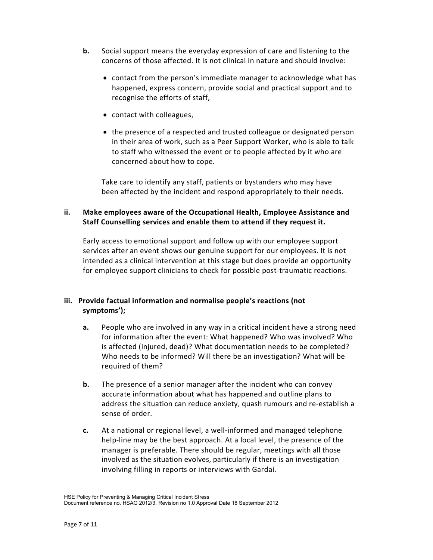- **b.** Social support means the everyday expression of care and listening to the concerns of those affected. It is not clinical in nature and should involve:
	- contact from the person's immediate manager to acknowledge what has happened, express concern, provide social and practical support and to recognise the efforts of staff,
	- contact with colleagues,
	- the presence of a respected and trusted colleague or designated person in their area of work, such as a Peer Support Worker, who is able to talk to staff who witnessed the event or to people affected by it who are concerned about how to cope.

 Take care to identify any staff, patients or bystanders who may have been affected by the incident and respond appropriately to their needs.

# **ii. Make employees aware of the Occupational Health, Employee Assistance and Staff Counselling services and enable them to attend if they request it.**

 Early access to emotional support and follow up with our employee support services after an event shows our genuine support for our employees. It is not intended as a clinical intervention at this stage but does provide an opportunity for employee support clinicians to check for possible post-traumatic reactions.

# **iii. Provide factual information and normalise people's reactions (not symptoms');**

- **a.** People who are involved in any way in a critical incident have a strong need for information after the event: What happened? Who was involved? Who is affected (injured, dead)? What documentation needs to be completed? Who needs to be informed? Will there be an investigation? What will be required of them?
- **b.** The presence of a senior manager after the incident who can convey accurate information about what has happened and outline plans to address the situation can reduce anxiety, quash rumours and re-establish a sense of order.
- **c.** At a national or regional level, a well-informed and managed telephone help-line may be the best approach. At a local level, the presence of the manager is preferable. There should be regular, meetings with all those involved as the situation evolves, particularly if there is an investigation involving filling in reports or interviews with Gardaí.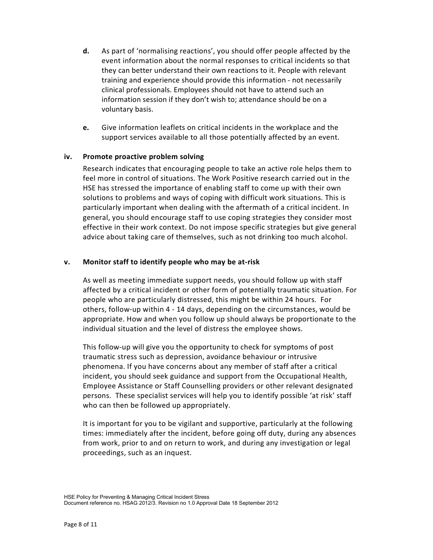- **d.** As part of 'normalising reactions', you should offer people affected by the event information about the normal responses to critical incidents so that they can better understand their own reactions to it. People with relevant training and experience should provide this information - not necessarily clinical professionals. Employees should not have to attend such an information session if they don't wish to; attendance should be on a voluntary basis.
- **e.** Give information leaflets on critical incidents in the workplace and the support services available to all those potentially affected by an event.

## **iv. Promote proactive problem solving**

 Research indicates that encouraging people to take an active role helps them to feel more in control of situations. The Work Positive research carried out in the HSE has stressed the importance of enabling staff to come up with their own solutions to problems and ways of coping with difficult work situations. This is particularly important when dealing with the aftermath of a critical incident. In general, you should encourage staff to use coping strategies they consider most effective in their work context. Do not impose specific strategies but give general advice about taking care of themselves, such as not drinking too much alcohol.

## **v. Monitor staff to identify people who may be at-risk**

 As well as meeting immediate support needs, you should follow up with staff affected by a critical incident or other form of potentially traumatic situation. For people who are particularly distressed, this might be within 24 hours. For others, follow-up within 4 - 14 days, depending on the circumstances, would be appropriate. How and when you follow up should always be proportionate to the individual situation and the level of distress the employee shows.

 This follow-up will give you the opportunity to check for symptoms of post traumatic stress such as depression, avoidance behaviour or intrusive phenomena. If you have concerns about any member of staff after a critical incident, you should seek guidance and support from the Occupational Health, Employee Assistance or Staff Counselling providers or other relevant designated persons. These specialist services will help you to identify possible 'at risk' staff who can then be followed up appropriately.

 It is important for you to be vigilant and supportive, particularly at the following times: immediately after the incident, before going off duty, during any absences from work, prior to and on return to work, and during any investigation or legal proceedings, such as an inquest.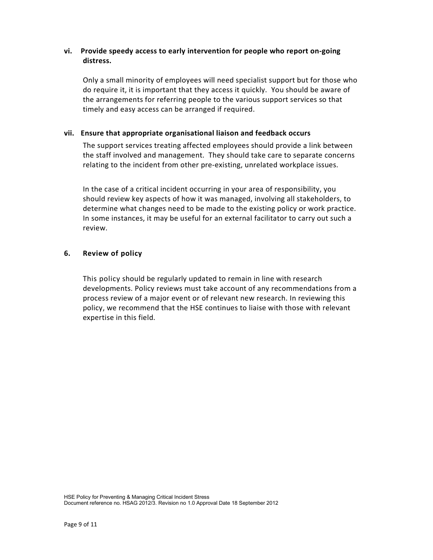## **vi. Provide speedy access to early intervention for people who report on-going distress.**

 Only a small minority of employees will need specialist support but for those who do require it, it is important that they access it quickly. You should be aware of the arrangements for referring people to the various support services so that timely and easy access can be arranged if required.

## **vii. Ensure that appropriate organisational liaison and feedback occurs**

 The support services treating affected employees should provide a link between the staff involved and management. They should take care to separate concerns relating to the incident from other pre-existing, unrelated workplace issues.

 In the case of a critical incident occurring in your area of responsibility, you should review key aspects of how it was managed, involving all stakeholders, to determine what changes need to be made to the existing policy or work practice. In some instances, it may be useful for an external facilitator to carry out such a review.

# **6. Review of policy**

 This policy should be regularly updated to remain in line with research developments. Policy reviews must take account of any recommendations from a process review of a major event or of relevant new research. In reviewing this policy, we recommend that the HSE continues to liaise with those with relevant expertise in this field.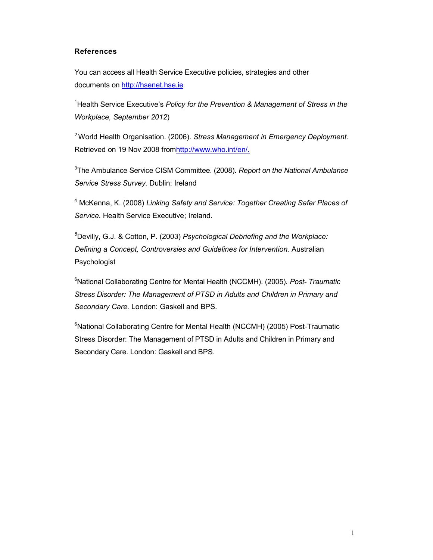#### **References**

You can access all Health Service Executive policies, strategies and other documents on http://hsenet.hse.ie

<sup>1</sup>Health Service Executive's *Policy for the Prevention & Management of Stress in the Workplace, September 2012*)

<sup>2</sup>World Health Organisation. (2006). *Stress Management in Emergency Deployment.*  Retrieved on 19 Nov 2008 fromhttp://www.who.int/en/.

3 The Ambulance Service CISM Committee. (2008). *Report on the National Ambulance Service Stress Survey.* Dublin: Ireland

4 McKenna, K. (2008) *Linking Safety and Service: Together Creating Safer Places of Service.* Health Service Executive; Ireland.

*<sup>5</sup>*Devilly, G.J. & Cotton, P. (2003) *Psychological Debriefing and the Workplace: Defining a Concept, Controversies and Guidelines for Intervention.* Australian Psychologist

<sup>6</sup>National Collaborating Centre for Mental Health (NCCMH). (2005). *Post- Traumatic Stress Disorder: The Management of PTSD in Adults and Children in Primary and Secondary Care.* London: Gaskell and BPS.

<sup>6</sup>National Collaborating Centre for Mental Health (NCCMH) (2005) Post-Traumatic Stress Disorder: The Management of PTSD in Adults and Children in Primary and Secondary Care. London: Gaskell and BPS.